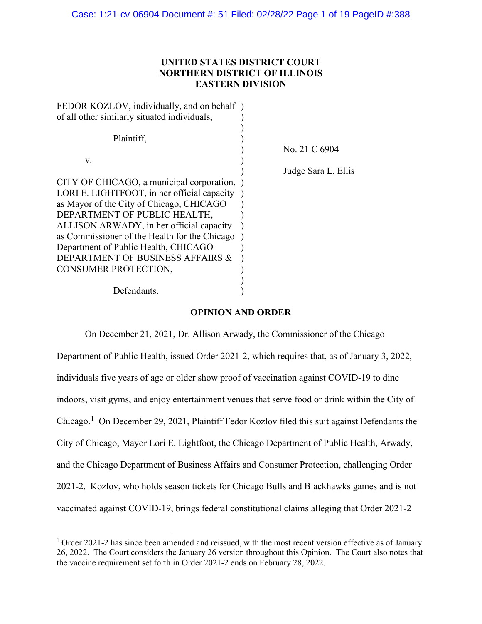# **UNITED STATES DISTRICT COURT NORTHERN DISTRICT OF ILLINOIS EASTERN DIVISION**

| FEDOR KOZLOV, individually, and on behalf)    |                     |
|-----------------------------------------------|---------------------|
| of all other similarly situated individuals,  |                     |
|                                               |                     |
| Plaintiff.                                    |                     |
|                                               | No. 21 C 6904       |
| V.                                            |                     |
|                                               | Judge Sara L. Ellis |
| CITY OF CHICAGO, a municipal corporation,     |                     |
| LORI E. LIGHTFOOT, in her official capacity   |                     |
| as Mayor of the City of Chicago, CHICAGO      |                     |
| DEPARTMENT OF PUBLIC HEALTH,                  |                     |
| ALLISON ARWADY, in her official capacity      |                     |
| as Commissioner of the Health for the Chicago |                     |
| Department of Public Health, CHICAGO          |                     |
| DEPARTMENT OF BUSINESS AFFAIRS &              |                     |
| CONSUMER PROTECTION,                          |                     |
|                                               |                     |
| Defendants.                                   |                     |
|                                               |                     |

# **OPINION AND ORDER**

On December 21, 2021, Dr. Allison Arwady, the Commissioner of the Chicago Department of Public Health, issued Order 2021-2, which requires that, as of January 3, 2022, individuals five years of age or older show proof of vaccination against COVID-19 to dine indoors, visit gyms, and enjoy entertainment venues that serve food or drink within the City of Chicago.<sup>[1](#page-0-0)</sup> On December 29, 2021, Plaintiff Fedor Kozlov filed this suit against Defendants the City of Chicago, Mayor Lori E. Lightfoot, the Chicago Department of Public Health, Arwady, and the Chicago Department of Business Affairs and Consumer Protection, challenging Order 2021-2. Kozlov, who holds season tickets for Chicago Bulls and Blackhawks games and is not vaccinated against COVID-19, brings federal constitutional claims alleging that Order 2021-2

<span id="page-0-0"></span> $1$  Order 2021-2 has since been amended and reissued, with the most recent version effective as of January 26, 2022. The Court considers the January 26 version throughout this Opinion. The Court also notes that the vaccine requirement set forth in Order 2021-2 ends on February 28, 2022.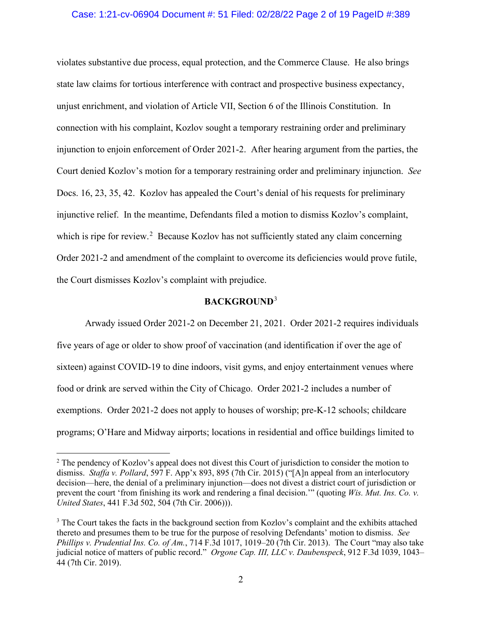### Case: 1:21-cv-06904 Document #: 51 Filed: 02/28/22 Page 2 of 19 PageID #:389

violates substantive due process, equal protection, and the Commerce Clause. He also brings state law claims for tortious interference with contract and prospective business expectancy, unjust enrichment, and violation of Article VII, Section 6 of the Illinois Constitution. In connection with his complaint, Kozlov sought a temporary restraining order and preliminary injunction to enjoin enforcement of Order 2021-2. After hearing argument from the parties, the Court denied Kozlov's motion for a temporary restraining order and preliminary injunction. *See*  Docs. 16, 23, 35, 42. Kozlov has appealed the Court's denial of his requests for preliminary injunctive relief. In the meantime, Defendants filed a motion to dismiss Kozlov's complaint, which is ripe for review.<sup>[2](#page-1-0)</sup> Because Kozlov has not sufficiently stated any claim concerning Order 2021-2 and amendment of the complaint to overcome its deficiencies would prove futile, the Court dismisses Kozlov's complaint with prejudice.

# **BACKGROUND**[3](#page-1-1)

Arwady issued Order 2021-2 on December 21, 2021. Order 2021-2 requires individuals five years of age or older to show proof of vaccination (and identification if over the age of sixteen) against COVID-19 to dine indoors, visit gyms, and enjoy entertainment venues where food or drink are served within the City of Chicago. Order 2021-2 includes a number of exemptions. Order 2021-2 does not apply to houses of worship; pre-K-12 schools; childcare programs; O'Hare and Midway airports; locations in residential and office buildings limited to

<span id="page-1-0"></span><sup>&</sup>lt;sup>2</sup> The pendency of Kozlov's appeal does not divest this Court of jurisdiction to consider the motion to dismiss. *Staffa v. Pollard*, 597 F. App'x 893, 895 (7th Cir. 2015) ("[A]n appeal from an interlocutory decision—here, the denial of a preliminary injunction—does not divest a district court of jurisdiction or prevent the court 'from finishing its work and rendering a final decision.'" (quoting *Wis. Mut. Ins. Co. v. United States*, 441 F.3d 502, 504 (7th Cir. 2006))).

<span id="page-1-1"></span><sup>&</sup>lt;sup>3</sup> The Court takes the facts in the background section from Kozlov's complaint and the exhibits attached thereto and presumes them to be true for the purpose of resolving Defendants' motion to dismiss. *See Phillips v. Prudential Ins. Co. of Am.*, 714 F.3d 1017, 1019–20 (7th Cir. 2013). The Court "may also take judicial notice of matters of public record." *Orgone Cap. III, LLC v. Daubenspeck*, 912 F.3d 1039, 1043– 44 (7th Cir. 2019).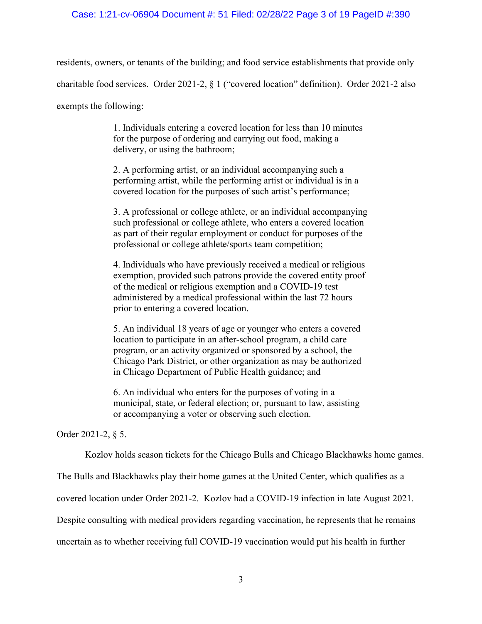# Case: 1:21-cv-06904 Document #: 51 Filed: 02/28/22 Page 3 of 19 PageID #:390

residents, owners, or tenants of the building; and food service establishments that provide only

charitable food services. Order 2021-2, § 1 ("covered location" definition). Order 2021-2 also

exempts the following:

1. Individuals entering a covered location for less than 10 minutes for the purpose of ordering and carrying out food, making a delivery, or using the bathroom;

2. A performing artist, or an individual accompanying such a performing artist, while the performing artist or individual is in a covered location for the purposes of such artist's performance;

3. A professional or college athlete, or an individual accompanying such professional or college athlete, who enters a covered location as part of their regular employment or conduct for purposes of the professional or college athlete/sports team competition;

4. Individuals who have previously received a medical or religious exemption, provided such patrons provide the covered entity proof of the medical or religious exemption and a COVID-19 test administered by a medical professional within the last 72 hours prior to entering a covered location.

5. An individual 18 years of age or younger who enters a covered location to participate in an after-school program, a child care program, or an activity organized or sponsored by a school, the Chicago Park District, or other organization as may be authorized in Chicago Department of Public Health guidance; and

6. An individual who enters for the purposes of voting in a municipal, state, or federal election; or, pursuant to law, assisting or accompanying a voter or observing such election.

Order 2021-2, § 5.

Kozlov holds season tickets for the Chicago Bulls and Chicago Blackhawks home games.

The Bulls and Blackhawks play their home games at the United Center, which qualifies as a

covered location under Order 2021-2. Kozlov had a COVID-19 infection in late August 2021.

Despite consulting with medical providers regarding vaccination, he represents that he remains

uncertain as to whether receiving full COVID-19 vaccination would put his health in further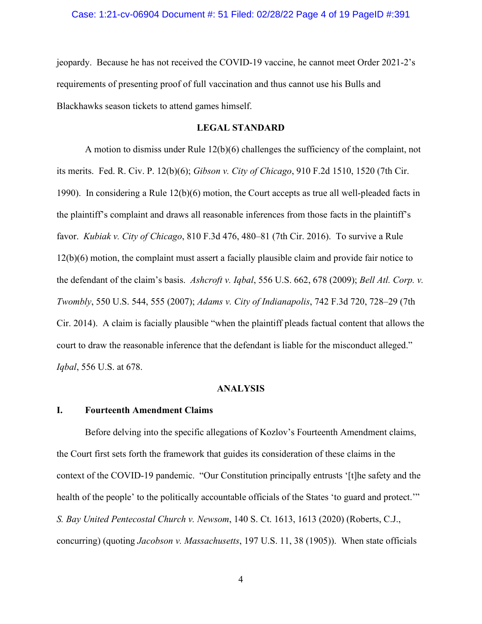jeopardy. Because he has not received the COVID-19 vaccine, he cannot meet Order 2021-2's requirements of presenting proof of full vaccination and thus cannot use his Bulls and Blackhawks season tickets to attend games himself.

# **LEGAL STANDARD**

A motion to dismiss under Rule 12(b)(6) challenges the sufficiency of the complaint, not its merits. Fed. R. Civ. P. 12(b)(6); *Gibson v. City of Chicago*, 910 F.2d 1510, 1520 (7th Cir. 1990). In considering a Rule 12(b)(6) motion, the Court accepts as true all well-pleaded facts in the plaintiff's complaint and draws all reasonable inferences from those facts in the plaintiff's favor. *Kubiak v. City of Chicago*, 810 F.3d 476, 480–81 (7th Cir. 2016). To survive a Rule 12(b)(6) motion, the complaint must assert a facially plausible claim and provide fair notice to the defendant of the claim's basis. *Ashcroft v. Iqbal*, 556 U.S. 662, 678 (2009); *Bell Atl. Corp. v. Twombly*, 550 U.S. 544, 555 (2007); *Adams v. City of Indianapolis*, 742 F.3d 720, 728–29 (7th Cir. 2014). A claim is facially plausible "when the plaintiff pleads factual content that allows the court to draw the reasonable inference that the defendant is liable for the misconduct alleged." *Iqbal*, 556 U.S. at 678.

#### **ANALYSIS**

#### **I. Fourteenth Amendment Claims**

Before delving into the specific allegations of Kozlov's Fourteenth Amendment claims, the Court first sets forth the framework that guides its consideration of these claims in the context of the COVID-19 pandemic. "Our Constitution principally entrusts '[t]he safety and the health of the people' to the politically accountable officials of the States 'to guard and protect.'" *S. Bay United Pentecostal Church v. Newsom*, 140 S. Ct. 1613, 1613 (2020) (Roberts, C.J., concurring) (quoting *Jacobson v. Massachusetts*, 197 U.S. 11, 38 (1905)). When state officials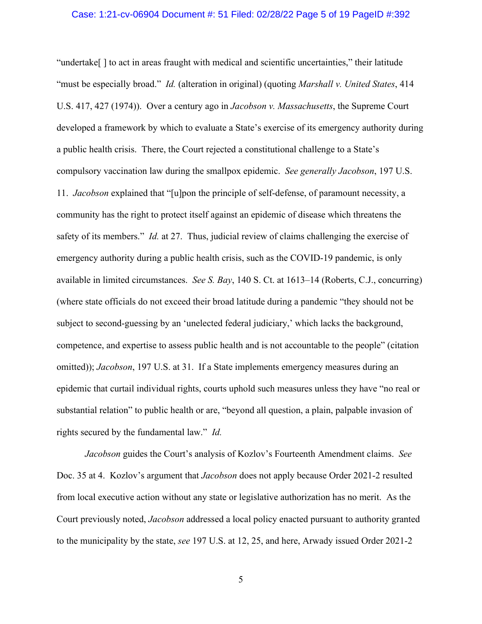#### Case: 1:21-cv-06904 Document #: 51 Filed: 02/28/22 Page 5 of 19 PageID #:392

"undertake[ ] to act in areas fraught with medical and scientific uncertainties," their latitude "must be especially broad." *Id.* (alteration in original) (quoting *Marshall v. United States*, 414 U.S. 417, 427 (1974)). Over a century ago in *Jacobson v. Massachusetts*, the Supreme Court developed a framework by which to evaluate a State's exercise of its emergency authority during a public health crisis. There, the Court rejected a constitutional challenge to a State's compulsory vaccination law during the smallpox epidemic. *See generally Jacobson*, 197 U.S. 11. *Jacobson* explained that "[u]pon the principle of self-defense, of paramount necessity, a community has the right to protect itself against an epidemic of disease which threatens the safety of its members." *Id.* at 27. Thus, judicial review of claims challenging the exercise of emergency authority during a public health crisis, such as the COVID-19 pandemic, is only available in limited circumstances. *See S. Bay*, 140 S. Ct. at 1613–14 (Roberts, C.J., concurring) (where state officials do not exceed their broad latitude during a pandemic "they should not be subject to second-guessing by an 'unelected federal judiciary,' which lacks the background, competence, and expertise to assess public health and is not accountable to the people" (citation omitted)); *Jacobson*, 197 U.S. at 31. If a State implements emergency measures during an epidemic that curtail individual rights, courts uphold such measures unless they have "no real or substantial relation" to public health or are, "beyond all question, a plain, palpable invasion of rights secured by the fundamental law." *Id.*

*Jacobson* guides the Court's analysis of Kozlov's Fourteenth Amendment claims. *See*  Doc. 35 at 4. Kozlov's argument that *Jacobson* does not apply because Order 2021-2 resulted from local executive action without any state or legislative authorization has no merit. As the Court previously noted, *Jacobson* addressed a local policy enacted pursuant to authority granted to the municipality by the state, *see* 197 U.S. at 12, 25, and here, Arwady issued Order 2021-2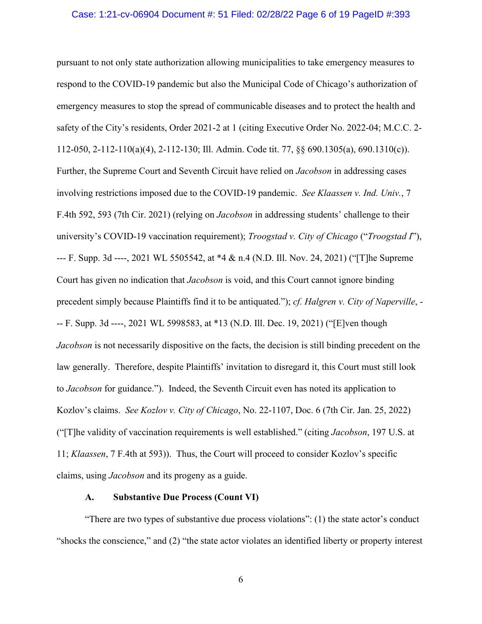#### Case: 1:21-cv-06904 Document #: 51 Filed: 02/28/22 Page 6 of 19 PageID #:393

pursuant to not only state authorization allowing municipalities to take emergency measures to respond to the COVID-19 pandemic but also the Municipal Code of Chicago's authorization of emergency measures to stop the spread of communicable diseases and to protect the health and safety of the City's residents, Order 2021-2 at 1 (citing Executive Order No. 2022-04; M.C.C. 2- 112-050, 2-112-110(a)(4), 2-112-130; Ill. Admin. Code tit. 77, §§ 690.1305(a), 690.1310(c)). Further, the Supreme Court and Seventh Circuit have relied on *Jacobson* in addressing cases involving restrictions imposed due to the COVID-19 pandemic. *See Klaassen v. Ind. Univ.*, 7 F.4th 592, 593 (7th Cir. 2021) (relying on *Jacobson* in addressing students' challenge to their university's COVID-19 vaccination requirement); *Troogstad v. City of Chicago* ("*Troogstad I*"), --- F. Supp. 3d ----, 2021 WL 5505542, at \*4 & n.4 (N.D. Ill. Nov. 24, 2021) ("[T]he Supreme Court has given no indication that *Jacobson* is void, and this Court cannot ignore binding precedent simply because Plaintiffs find it to be antiquated."); *cf. Halgren v. City of Naperville*, - -- F. Supp. 3d ----, 2021 WL 5998583, at \*13 (N.D. Ill. Dec. 19, 2021) ("[E]ven though *Jacobson* is not necessarily dispositive on the facts, the decision is still binding precedent on the law generally. Therefore, despite Plaintiffs' invitation to disregard it, this Court must still look to *Jacobson* for guidance."). Indeed, the Seventh Circuit even has noted its application to Kozlov's claims. *See Kozlov v. City of Chicago*, No. 22-1107, Doc. 6 (7th Cir. Jan. 25, 2022) ("[T]he validity of vaccination requirements is well established." (citing *Jacobson*, 197 U.S. at 11; *Klaassen*, 7 F.4th at 593)). Thus, the Court will proceed to consider Kozlov's specific claims, using *Jacobson* and its progeny as a guide.

# **A. Substantive Due Process (Count VI)**

"There are two types of substantive due process violations": (1) the state actor's conduct "shocks the conscience," and (2) "the state actor violates an identified liberty or property interest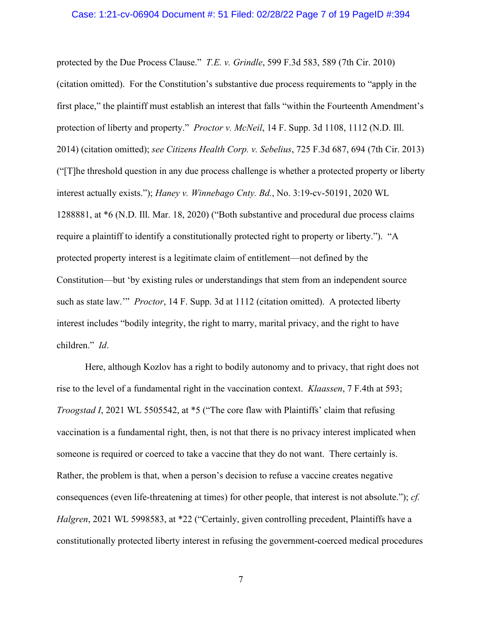#### Case: 1:21-cv-06904 Document #: 51 Filed: 02/28/22 Page 7 of 19 PageID #:394

protected by the Due Process Clause." *T.E. v. Grindle*, 599 F.3d 583, 589 (7th Cir. 2010) (citation omitted). For the Constitution's substantive due process requirements to "apply in the first place," the plaintiff must establish an interest that falls "within the Fourteenth Amendment's protection of liberty and property." *Proctor v. McNeil*, 14 F. Supp. 3d 1108, 1112 (N.D. Ill. 2014) (citation omitted); *see Citizens Health Corp. v. Sebelius*, 725 F.3d 687, 694 (7th Cir. 2013) ("[T]he threshold question in any due process challenge is whether a protected property or liberty interest actually exists."); *Haney v. Winnebago Cnty. Bd.*, No. 3:19-cv-50191, 2020 WL 1288881, at \*6 (N.D. Ill. Mar. 18, 2020) ("Both substantive and procedural due process claims require a plaintiff to identify a constitutionally protected right to property or liberty."). "A protected property interest is a legitimate claim of entitlement—not defined by the Constitution—but 'by existing rules or understandings that stem from an independent source such as state law.'" *Proctor*, 14 F. Supp. 3d at 1112 (citation omitted). A protected liberty interest includes "bodily integrity, the right to marry, marital privacy, and the right to have children." *Id*.

Here, although Kozlov has a right to bodily autonomy and to privacy, that right does not rise to the level of a fundamental right in the vaccination context. *Klaassen*, 7 F.4th at 593; *Troogstad I*, 2021 WL 5505542, at \*5 ("The core flaw with Plaintiffs' claim that refusing vaccination is a fundamental right, then, is not that there is no privacy interest implicated when someone is required or coerced to take a vaccine that they do not want. There certainly is. Rather, the problem is that, when a person's decision to refuse a vaccine creates negative consequences (even life-threatening at times) for other people, that interest is not absolute."); *cf. Halgren*, 2021 WL 5998583, at \*22 ("Certainly, given controlling precedent, Plaintiffs have a constitutionally protected liberty interest in refusing the government-coerced medical procedures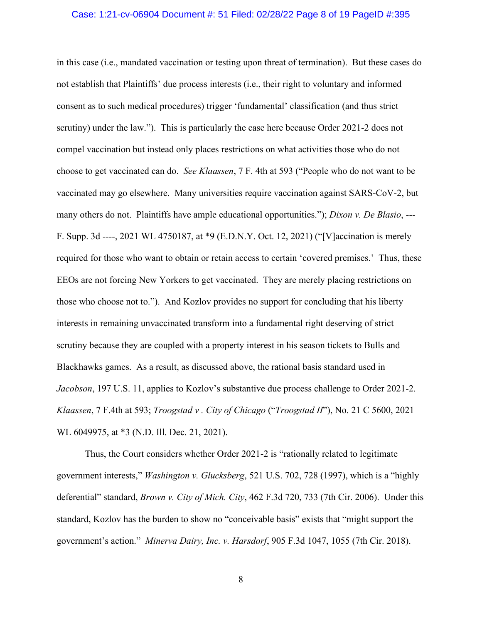#### Case: 1:21-cv-06904 Document #: 51 Filed: 02/28/22 Page 8 of 19 PageID #:395

in this case (i.e., mandated vaccination or testing upon threat of termination). But these cases do not establish that Plaintiffs' due process interests (i.e., their right to voluntary and informed consent as to such medical procedures) trigger 'fundamental' classification (and thus strict scrutiny) under the law."). This is particularly the case here because Order 2021-2 does not compel vaccination but instead only places restrictions on what activities those who do not choose to get vaccinated can do. *See Klaassen*, 7 F. 4th at 593 ("People who do not want to be vaccinated may go elsewhere. Many universities require vaccination against SARS-CoV-2, but many others do not. Plaintiffs have ample educational opportunities."); *Dixon v. De Blasio*, --- F. Supp. 3d ----, 2021 WL 4750187, at \*9 (E.D.N.Y. Oct. 12, 2021) ("[V]accination is merely required for those who want to obtain or retain access to certain 'covered premises.' Thus, these EEOs are not forcing New Yorkers to get vaccinated. They are merely placing restrictions on those who choose not to."). And Kozlov provides no support for concluding that his liberty interests in remaining unvaccinated transform into a fundamental right deserving of strict scrutiny because they are coupled with a property interest in his season tickets to Bulls and Blackhawks games. As a result, as discussed above, the rational basis standard used in *Jacobson*, 197 U.S. 11, applies to Kozlov's substantive due process challenge to Order 2021-2. *Klaassen*, 7 F.4th at 593; *Troogstad v . City of Chicago* ("*Troogstad II*"), No. 21 C 5600, 2021 WL 6049975, at \*3 (N.D. Ill. Dec. 21, 2021).

Thus, the Court considers whether Order 2021-2 is "rationally related to legitimate government interests," *Washington v. Glucksberg*, 521 U.S. 702, 728 (1997), which is a "highly deferential" standard, *Brown v. City of Mich. City*, 462 F.3d 720, 733 (7th Cir. 2006). Under this standard, Kozlov has the burden to show no "conceivable basis" exists that "might support the government's action." *Minerva Dairy, Inc. v. Harsdorf*, 905 F.3d 1047, 1055 (7th Cir. 2018).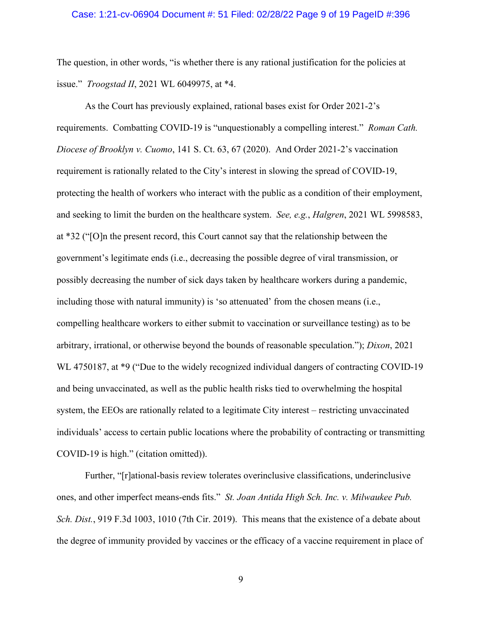#### Case: 1:21-cv-06904 Document #: 51 Filed: 02/28/22 Page 9 of 19 PageID #:396

The question, in other words, "is whether there is any rational justification for the policies at issue." *Troogstad II*, 2021 WL 6049975, at \*4.

As the Court has previously explained, rational bases exist for Order 2021-2's requirements. Combatting COVID-19 is "unquestionably a compelling interest." *Roman Cath. Diocese of Brooklyn v. Cuomo*, 141 S. Ct. 63, 67 (2020). And Order 2021-2's vaccination requirement is rationally related to the City's interest in slowing the spread of COVID-19, protecting the health of workers who interact with the public as a condition of their employment, and seeking to limit the burden on the healthcare system. *See, e.g.*, *Halgren*, 2021 WL 5998583, at \*32 ("[O]n the present record, this Court cannot say that the relationship between the government's legitimate ends (i.e., decreasing the possible degree of viral transmission, or possibly decreasing the number of sick days taken by healthcare workers during a pandemic, including those with natural immunity) is 'so attenuated' from the chosen means (i.e., compelling healthcare workers to either submit to vaccination or surveillance testing) as to be arbitrary, irrational, or otherwise beyond the bounds of reasonable speculation."); *Dixon*, 2021 WL 4750187, at \*9 ("Due to the widely recognized individual dangers of contracting COVID-19 and being unvaccinated, as well as the public health risks tied to overwhelming the hospital system, the EEOs are rationally related to a legitimate City interest – restricting unvaccinated individuals' access to certain public locations where the probability of contracting or transmitting COVID-19 is high." (citation omitted)).

Further, "[r]ational-basis review tolerates overinclusive classifications, underinclusive ones, and other imperfect means-ends fits." *St. Joan Antida High Sch. Inc. v. Milwaukee Pub. Sch. Dist.*, 919 F.3d 1003, 1010 (7th Cir. 2019). This means that the existence of a debate about the degree of immunity provided by vaccines or the efficacy of a vaccine requirement in place of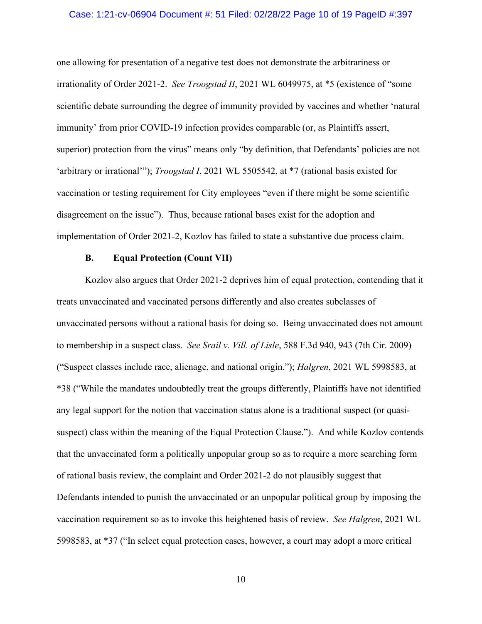#### Case: 1:21-cv-06904 Document #: 51 Filed: 02/28/22 Page 10 of 19 PageID #:397

one allowing for presentation of a negative test does not demonstrate the arbitrariness or irrationality of Order 2021-2. *See Troogstad II*, 2021 WL 6049975, at \*5 (existence of "some scientific debate surrounding the degree of immunity provided by vaccines and whether 'natural immunity' from prior COVID-19 infection provides comparable (or, as Plaintiffs assert, superior) protection from the virus" means only "by definition, that Defendants' policies are not 'arbitrary or irrational'"); *Troogstad I*, 2021 WL 5505542, at \*7 (rational basis existed for vaccination or testing requirement for City employees "even if there might be some scientific disagreement on the issue"). Thus, because rational bases exist for the adoption and implementation of Order 2021-2, Kozlov has failed to state a substantive due process claim.

#### **B. Equal Protection (Count VII)**

Kozlov also argues that Order 2021-2 deprives him of equal protection, contending that it treats unvaccinated and vaccinated persons differently and also creates subclasses of unvaccinated persons without a rational basis for doing so. Being unvaccinated does not amount to membership in a suspect class. *See Srail v. Vill. of Lisle*, 588 F.3d 940, 943 (7th Cir. 2009) ("Suspect classes include race, alienage, and national origin."); *Halgren*, 2021 WL 5998583, at \*38 ("While the mandates undoubtedly treat the groups differently, Plaintiffs have not identified any legal support for the notion that vaccination status alone is a traditional suspect (or quasisuspect) class within the meaning of the Equal Protection Clause."). And while Kozlov contends that the unvaccinated form a politically unpopular group so as to require a more searching form of rational basis review, the complaint and Order 2021-2 do not plausibly suggest that Defendants intended to punish the unvaccinated or an unpopular political group by imposing the vaccination requirement so as to invoke this heightened basis of review. *See Halgren*, 2021 WL 5998583, at \*37 ("In select equal protection cases, however, a court may adopt a more critical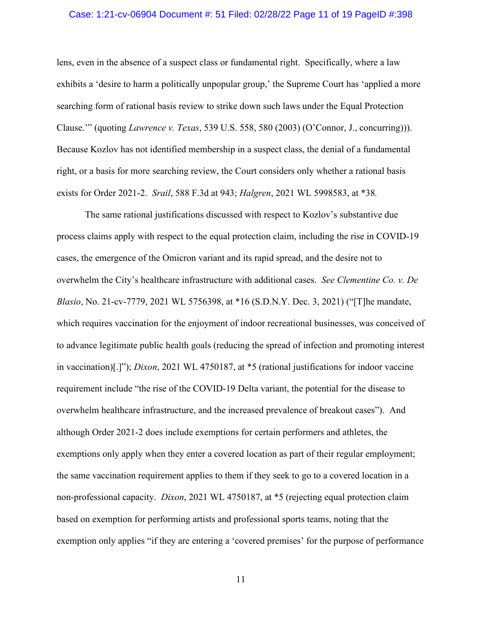### Case: 1:21-cv-06904 Document #: 51 Filed: 02/28/22 Page 11 of 19 PageID #:398

lens, even in the absence of a suspect class or fundamental right. Specifically, where a law exhibits a 'desire to harm a politically unpopular group,' the Supreme Court has 'applied a more searching form of rational basis review to strike down such laws under the Equal Protection Clause.'" (quoting *Lawrence v. Texas*, 539 U.S. 558, 580 (2003) (O'Connor, J., concurring))). Because Kozlov has not identified membership in a suspect class, the denial of a fundamental right, or a basis for more searching review, the Court considers only whether a rational basis exists for Order 2021-2. *Srail*, 588 F.3d at 943; *Halgren*, 2021 WL 5998583, at \*38*.*

The same rational justifications discussed with respect to Kozlov's substantive due process claims apply with respect to the equal protection claim, including the rise in COVID-19 cases, the emergence of the Omicron variant and its rapid spread, and the desire not to overwhelm the City's healthcare infrastructure with additional cases. *See Clementine Co. v. De Blasio*, No. 21-cv-7779, 2021 WL 5756398, at \*16 (S.D.N.Y. Dec. 3, 2021) ("[T]he mandate, which requires vaccination for the enjoyment of indoor recreational businesses, was conceived of to advance legitimate public health goals (reducing the spread of infection and promoting interest in vaccination)[.]"); *Dixon*, 2021 WL 4750187, at \*5 (rational justifications for indoor vaccine requirement include "the rise of the COVID-19 Delta variant, the potential for the disease to overwhelm healthcare infrastructure, and the increased prevalence of breakout cases"). And although Order 2021-2 does include exemptions for certain performers and athletes, the exemptions only apply when they enter a covered location as part of their regular employment; the same vaccination requirement applies to them if they seek to go to a covered location in a non-professional capacity. *Dixon*, 2021 WL 4750187, at \*5 (rejecting equal protection claim based on exemption for performing artists and professional sports teams, noting that the exemption only applies "if they are entering a 'covered premises' for the purpose of performance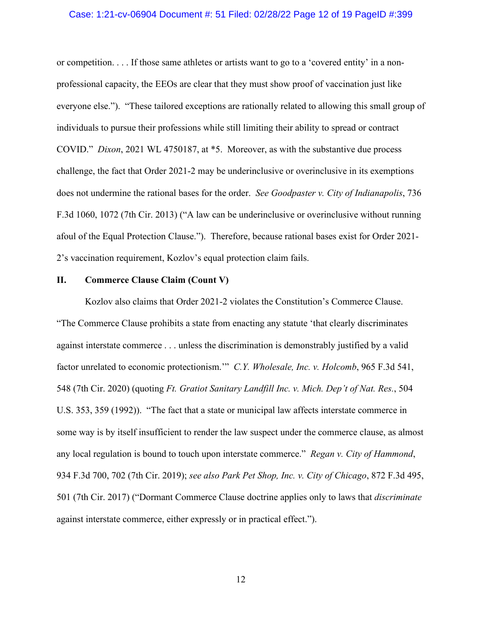#### Case: 1:21-cv-06904 Document #: 51 Filed: 02/28/22 Page 12 of 19 PageID #:399

or competition. . . . If those same athletes or artists want to go to a 'covered entity' in a nonprofessional capacity, the EEOs are clear that they must show proof of vaccination just like everyone else."). "These tailored exceptions are rationally related to allowing this small group of individuals to pursue their professions while still limiting their ability to spread or contract COVID." *Dixon*, 2021 WL 4750187, at \*5. Moreover, as with the substantive due process challenge, the fact that Order 2021-2 may be underinclusive or overinclusive in its exemptions does not undermine the rational bases for the order. *See Goodpaster v. City of Indianapolis*, 736 F.3d 1060, 1072 (7th Cir. 2013) ("A law can be underinclusive or overinclusive without running afoul of the Equal Protection Clause."). Therefore, because rational bases exist for Order 2021- 2's vaccination requirement, Kozlov's equal protection claim fails.

#### **II. Commerce Clause Claim (Count V)**

Kozlov also claims that Order 2021-2 violates the Constitution's Commerce Clause. "The Commerce Clause prohibits a state from enacting any statute 'that clearly discriminates against interstate commerce . . . unless the discrimination is demonstrably justified by a valid factor unrelated to economic protectionism.'" *C.Y. Wholesale, Inc. v. Holcomb*, 965 F.3d 541, 548 (7th Cir. 2020) (quoting *Ft. Gratiot Sanitary Landfill Inc. v. Mich. Dep't of Nat. Res.*, 504 U.S. 353, 359 (1992)). "The fact that a state or municipal law affects interstate commerce in some way is by itself insufficient to render the law suspect under the commerce clause, as almost any local regulation is bound to touch upon interstate commerce." *Regan v. City of Hammond*, 934 F.3d 700, 702 (7th Cir. 2019); *see also Park Pet Shop, Inc. v. City of Chicago*, 872 F.3d 495, 501 (7th Cir. 2017) ("Dormant Commerce Clause doctrine applies only to laws that *discriminate* against interstate commerce, either expressly or in practical effect.").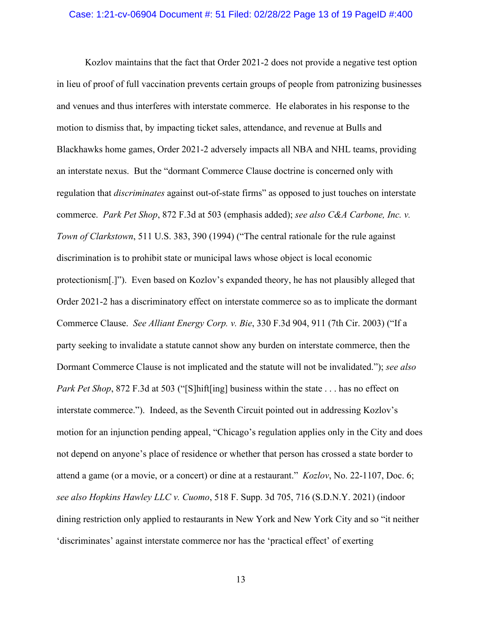#### Case: 1:21-cv-06904 Document #: 51 Filed: 02/28/22 Page 13 of 19 PageID #:400

Kozlov maintains that the fact that Order 2021-2 does not provide a negative test option in lieu of proof of full vaccination prevents certain groups of people from patronizing businesses and venues and thus interferes with interstate commerce. He elaborates in his response to the motion to dismiss that, by impacting ticket sales, attendance, and revenue at Bulls and Blackhawks home games, Order 2021-2 adversely impacts all NBA and NHL teams, providing an interstate nexus. But the "dormant Commerce Clause doctrine is concerned only with regulation that *discriminates* against out-of-state firms" as opposed to just touches on interstate commerce. *Park Pet Shop*, 872 F.3d at 503 (emphasis added); *see also C&A Carbone, Inc. v. Town of Clarkstown*, 511 U.S. 383, 390 (1994) ("The central rationale for the rule against discrimination is to prohibit state or municipal laws whose object is local economic protectionism[.]"). Even based on Kozlov's expanded theory, he has not plausibly alleged that Order 2021-2 has a discriminatory effect on interstate commerce so as to implicate the dormant Commerce Clause. *See Alliant Energy Corp. v. Bie*, 330 F.3d 904, 911 (7th Cir. 2003) ("If a party seeking to invalidate a statute cannot show any burden on interstate commerce, then the Dormant Commerce Clause is not implicated and the statute will not be invalidated."); *see also Park Pet Shop*, 872 F.3d at 503 ("[S]hift[ing] business within the state . . . has no effect on interstate commerce."). Indeed, as the Seventh Circuit pointed out in addressing Kozlov's motion for an injunction pending appeal, "Chicago's regulation applies only in the City and does not depend on anyone's place of residence or whether that person has crossed a state border to attend a game (or a movie, or a concert) or dine at a restaurant." *Kozlov*, No. 22-1107, Doc. 6; *see also Hopkins Hawley LLC v. Cuomo*, 518 F. Supp. 3d 705, 716 (S.D.N.Y. 2021) (indoor dining restriction only applied to restaurants in New York and New York City and so "it neither 'discriminates' against interstate commerce nor has the 'practical effect' of exerting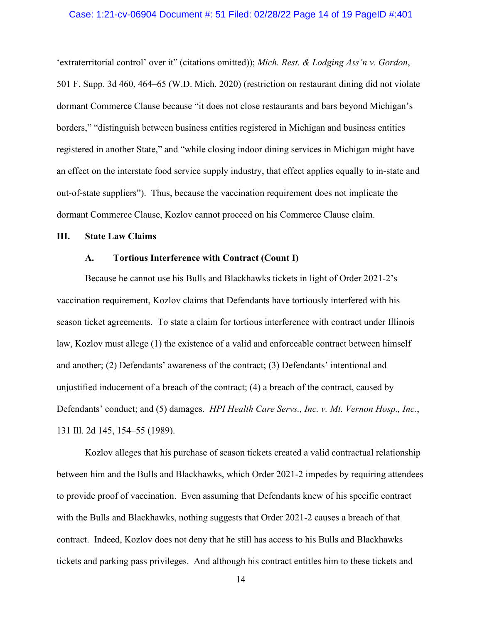#### Case: 1:21-cv-06904 Document #: 51 Filed: 02/28/22 Page 14 of 19 PageID #:401

'extraterritorial control' over it" (citations omitted)); *Mich. Rest. & Lodging Ass'n v. Gordon*, 501 F. Supp. 3d 460, 464–65 (W.D. Mich. 2020) (restriction on restaurant dining did not violate dormant Commerce Clause because "it does not close restaurants and bars beyond Michigan's borders," "distinguish between business entities registered in Michigan and business entities registered in another State," and "while closing indoor dining services in Michigan might have an effect on the interstate food service supply industry, that effect applies equally to in-state and out-of-state suppliers"). Thus, because the vaccination requirement does not implicate the dormant Commerce Clause, Kozlov cannot proceed on his Commerce Clause claim.

#### **III. State Law Claims**

#### **A. Tortious Interference with Contract (Count I)**

Because he cannot use his Bulls and Blackhawks tickets in light of Order 2021-2's vaccination requirement, Kozlov claims that Defendants have tortiously interfered with his season ticket agreements. To state a claim for tortious interference with contract under Illinois law, Kozlov must allege (1) the existence of a valid and enforceable contract between himself and another; (2) Defendants' awareness of the contract; (3) Defendants' intentional and unjustified inducement of a breach of the contract; (4) a breach of the contract, caused by Defendants' conduct; and (5) damages. *HPI Health Care Servs., Inc. v. Mt. Vernon Hosp., Inc.*, 131 Ill. 2d 145, 154–55 (1989).

Kozlov alleges that his purchase of season tickets created a valid contractual relationship between him and the Bulls and Blackhawks, which Order 2021-2 impedes by requiring attendees to provide proof of vaccination. Even assuming that Defendants knew of his specific contract with the Bulls and Blackhawks, nothing suggests that Order 2021-2 causes a breach of that contract. Indeed, Kozlov does not deny that he still has access to his Bulls and Blackhawks tickets and parking pass privileges. And although his contract entitles him to these tickets and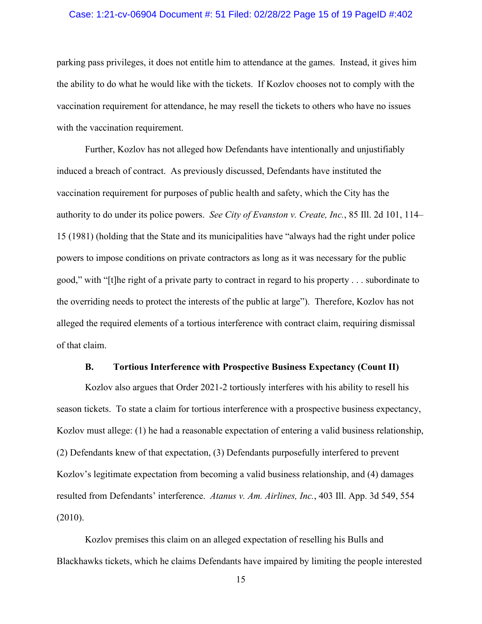### Case: 1:21-cv-06904 Document #: 51 Filed: 02/28/22 Page 15 of 19 PageID #:402

parking pass privileges, it does not entitle him to attendance at the games. Instead, it gives him the ability to do what he would like with the tickets. If Kozlov chooses not to comply with the vaccination requirement for attendance, he may resell the tickets to others who have no issues with the vaccination requirement.

Further, Kozlov has not alleged how Defendants have intentionally and unjustifiably induced a breach of contract. As previously discussed, Defendants have instituted the vaccination requirement for purposes of public health and safety, which the City has the authority to do under its police powers. *See City of Evanston v. Create, Inc.*, 85 Ill. 2d 101, 114– 15 (1981) (holding that the State and its municipalities have "always had the right under police powers to impose conditions on private contractors as long as it was necessary for the public good," with "[t]he right of a private party to contract in regard to his property . . . subordinate to the overriding needs to protect the interests of the public at large"). Therefore, Kozlov has not alleged the required elements of a tortious interference with contract claim, requiring dismissal of that claim.

#### **B. Tortious Interference with Prospective Business Expectancy (Count II)**

Kozlov also argues that Order 2021-2 tortiously interferes with his ability to resell his season tickets. To state a claim for tortious interference with a prospective business expectancy, Kozlov must allege: (1) he had a reasonable expectation of entering a valid business relationship, (2) Defendants knew of that expectation, (3) Defendants purposefully interfered to prevent Kozlov's legitimate expectation from becoming a valid business relationship, and (4) damages resulted from Defendants' interference. *Atanus v. Am. Airlines, Inc.*, 403 Ill. App. 3d 549, 554 (2010).

Kozlov premises this claim on an alleged expectation of reselling his Bulls and Blackhawks tickets, which he claims Defendants have impaired by limiting the people interested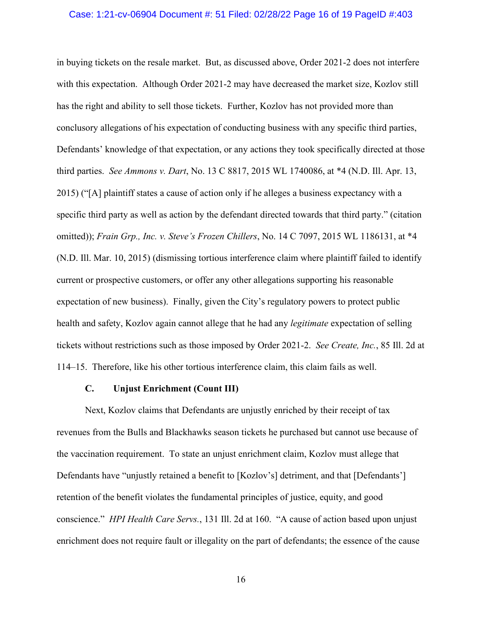#### Case: 1:21-cv-06904 Document #: 51 Filed: 02/28/22 Page 16 of 19 PageID #:403

in buying tickets on the resale market. But, as discussed above, Order 2021-2 does not interfere with this expectation. Although Order 2021-2 may have decreased the market size, Kozlov still has the right and ability to sell those tickets. Further, Kozlov has not provided more than conclusory allegations of his expectation of conducting business with any specific third parties, Defendants' knowledge of that expectation, or any actions they took specifically directed at those third parties. *See Ammons v. Dart*, No. 13 C 8817, 2015 WL 1740086, at \*4 (N.D. Ill. Apr. 13, 2015) ("[A] plaintiff states a cause of action only if he alleges a business expectancy with a specific third party as well as action by the defendant directed towards that third party." (citation omitted)); *Frain Grp., Inc. v. Steve's Frozen Chillers*, No. 14 C 7097, 2015 WL 1186131, at \*4 (N.D. Ill. Mar. 10, 2015) (dismissing tortious interference claim where plaintiff failed to identify current or prospective customers, or offer any other allegations supporting his reasonable expectation of new business). Finally, given the City's regulatory powers to protect public health and safety, Kozlov again cannot allege that he had any *legitimate* expectation of selling tickets without restrictions such as those imposed by Order 2021-2. *See Create, Inc.*, 85 Ill. 2d at 114–15. Therefore, like his other tortious interference claim, this claim fails as well.

### **C. Unjust Enrichment (Count III)**

Next, Kozlov claims that Defendants are unjustly enriched by their receipt of tax revenues from the Bulls and Blackhawks season tickets he purchased but cannot use because of the vaccination requirement. To state an unjust enrichment claim, Kozlov must allege that Defendants have "unjustly retained a benefit to [Kozlov's] detriment, and that [Defendants'] retention of the benefit violates the fundamental principles of justice, equity, and good conscience." *HPI Health Care Servs.*, 131 Ill. 2d at 160. "A cause of action based upon unjust enrichment does not require fault or illegality on the part of defendants; the essence of the cause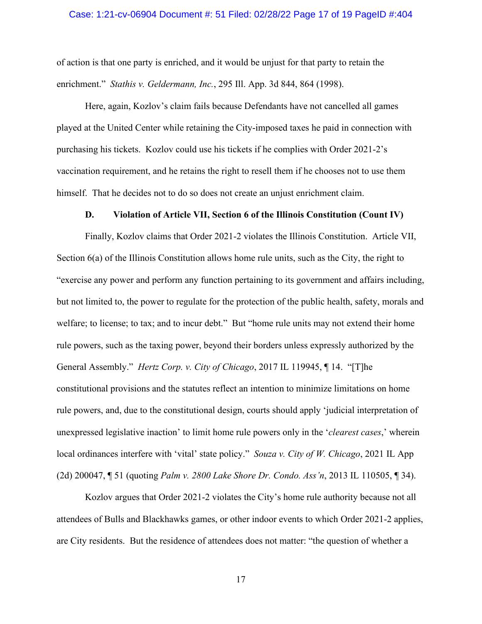#### Case: 1:21-cv-06904 Document #: 51 Filed: 02/28/22 Page 17 of 19 PageID #:404

of action is that one party is enriched, and it would be unjust for that party to retain the enrichment." *Stathis v. Geldermann, Inc.*, 295 Ill. App. 3d 844, 864 (1998).

Here, again, Kozlov's claim fails because Defendants have not cancelled all games played at the United Center while retaining the City-imposed taxes he paid in connection with purchasing his tickets. Kozlov could use his tickets if he complies with Order 2021-2's vaccination requirement, and he retains the right to resell them if he chooses not to use them himself. That he decides not to do so does not create an unjust enrichment claim.

#### **D. Violation of Article VII, Section 6 of the Illinois Constitution (Count IV)**

Finally, Kozlov claims that Order 2021-2 violates the Illinois Constitution. Article VII, Section 6(a) of the Illinois Constitution allows home rule units, such as the City, the right to "exercise any power and perform any function pertaining to its government and affairs including, but not limited to, the power to regulate for the protection of the public health, safety, morals and welfare; to license; to tax; and to incur debt." But "home rule units may not extend their home rule powers, such as the taxing power, beyond their borders unless expressly authorized by the General Assembly." *Hertz Corp. v. City of Chicago*, 2017 IL 119945, ¶ 14. "[T]he constitutional provisions and the statutes reflect an intention to minimize limitations on home rule powers, and, due to the constitutional design, courts should apply 'judicial interpretation of unexpressed legislative inaction' to limit home rule powers only in the '*clearest cases*,' wherein local ordinances interfere with 'vital' state policy." *Souza v. City of W. Chicago*, 2021 IL App (2d) 200047, ¶ 51 (quoting *Palm v. 2800 Lake Shore Dr. Condo. Ass'n*, 2013 IL 110505, ¶ 34).

Kozlov argues that Order 2021-2 violates the City's home rule authority because not all attendees of Bulls and Blackhawks games, or other indoor events to which Order 2021-2 applies, are City residents. But the residence of attendees does not matter: "the question of whether a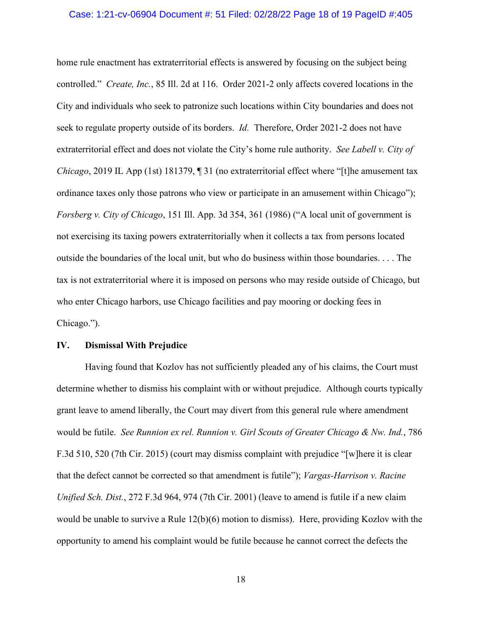#### Case: 1:21-cv-06904 Document #: 51 Filed: 02/28/22 Page 18 of 19 PageID #:405

home rule enactment has extraterritorial effects is answered by focusing on the subject being controlled." *Create, Inc.*, 85 Ill. 2d at 116. Order 2021-2 only affects covered locations in the City and individuals who seek to patronize such locations within City boundaries and does not seek to regulate property outside of its borders. *Id.* Therefore, Order 2021-2 does not have extraterritorial effect and does not violate the City's home rule authority. *See Labell v. City of Chicago*, 2019 IL App (1st) 181379, ¶ 31 (no extraterritorial effect where "[t]he amusement tax ordinance taxes only those patrons who view or participate in an amusement within Chicago"); *Forsberg v. City of Chicago*, 151 Ill. App. 3d 354, 361 (1986) ("A local unit of government is not exercising its taxing powers extraterritorially when it collects a tax from persons located outside the boundaries of the local unit, but who do business within those boundaries. . . . The tax is not extraterritorial where it is imposed on persons who may reside outside of Chicago, but who enter Chicago harbors, use Chicago facilities and pay mooring or docking fees in Chicago.").

## **IV. Dismissal With Prejudice**

Having found that Kozlov has not sufficiently pleaded any of his claims, the Court must determine whether to dismiss his complaint with or without prejudice. Although courts typically grant leave to amend liberally, the Court may divert from this general rule where amendment would be futile. *See Runnion ex rel. Runnion v. Girl Scouts of Greater Chicago & Nw. Ind.*, 786 F.3d 510, 520 (7th Cir. 2015) (court may dismiss complaint with prejudice "[w]here it is clear that the defect cannot be corrected so that amendment is futile"); *Vargas-Harrison v. Racine Unified Sch. Dist.*, 272 F.3d 964, 974 (7th Cir. 2001) (leave to amend is futile if a new claim would be unable to survive a Rule 12(b)(6) motion to dismiss). Here, providing Kozlov with the opportunity to amend his complaint would be futile because he cannot correct the defects the